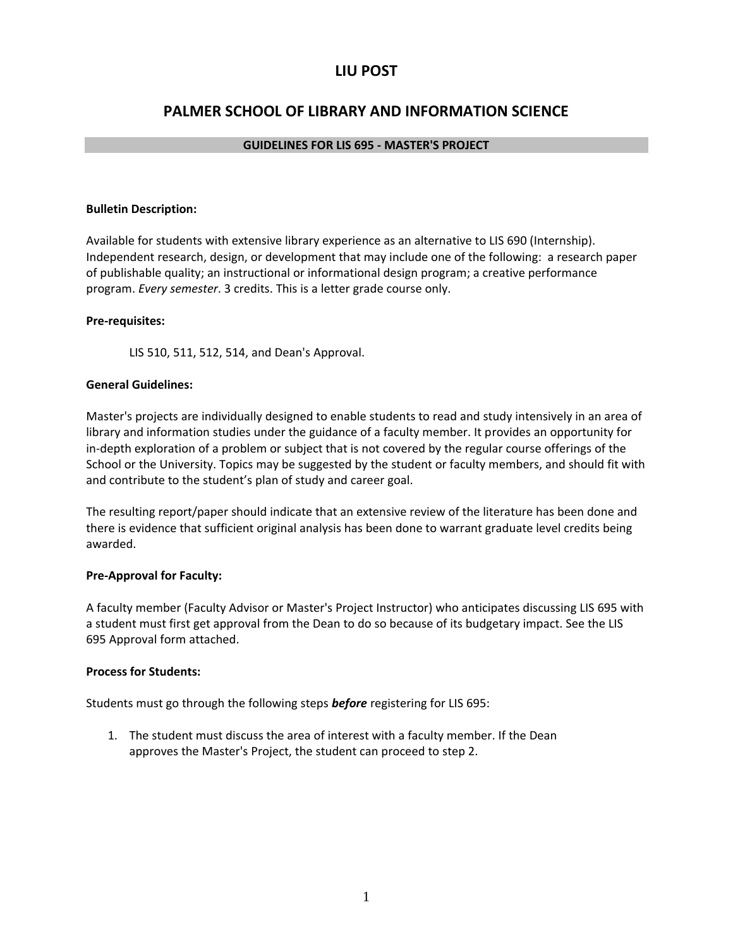### **LIU POST**

# **PALMER SCHOOL OF LIBRARY AND INFORMATION SCIENCE**

#### **GUIDELINES FOR LIS 695 - MASTER'S PROJECT**

#### **Bulletin Description:**

Available for students with extensive library experience as an alternative to LIS 690 (Internship). Independent research, design, or development that may include one of the following: a research paper of publishable quality; an instructional or informational design program; a creative performance program. *Every semester*. 3 credits. This is a letter grade course only.

#### **Pre-requisites:**

LIS 510, 511, 512, 514, and Dean's Approval.

#### **General Guidelines:**

Master's projects are individually designed to enable students to read and study intensively in an area of library and information studies under the guidance of a faculty member. It provides an opportunity for in-depth exploration of a problem or subject that is not covered by the regular course offerings of the School or the University. Topics may be suggested by the student or faculty members, and should fit with and contribute to the student's plan of study and career goal.

The resulting report/paper should indicate that an extensive review of the literature has been done and there is evidence that sufficient original analysis has been done to warrant graduate level credits being awarded.

#### **Pre-Approval for Faculty:**

A faculty member (Faculty Advisor or Master's Project Instructor) who anticipates discussing LIS 695 with a student must first get approval from the Dean to do so because of its budgetary impact. See the LIS 695 Approval form attached.

#### **Process for Students:**

Students must go through the following steps *before* registering for LIS 695:

1. The student must discuss the area of interest with a faculty member. If the Dean approves the Master's Project, the student can proceed to step 2.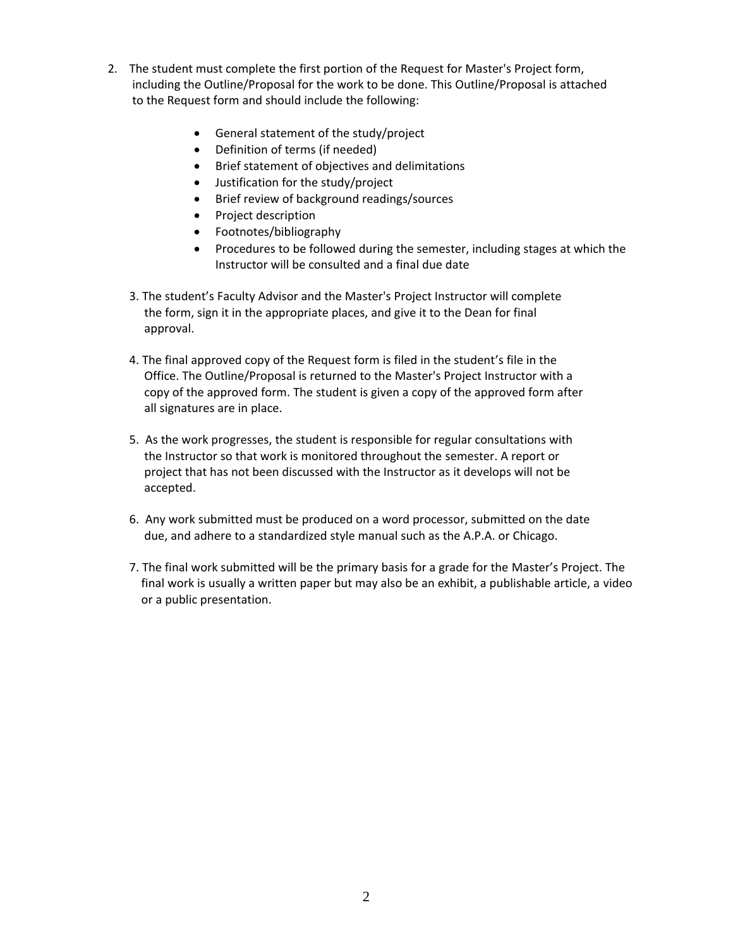- 2. The student must complete the first portion of the Request for Master's Project form, including the Outline/Proposal for the work to be done. This Outline/Proposal is attached to the Request form and should include the following:
	- General statement of the study/project
	- Definition of terms (if needed)
	- Brief statement of objectives and delimitations
	- Justification for the study/project
	- Brief review of background readings/sources
	- Project description
	- Footnotes/bibliography
	- Procedures to be followed during the semester, including stages at which the Instructor will be consulted and a final due date
	- 3. The student's Faculty Advisor and the Master's Project Instructor will complete the form, sign it in the appropriate places, and give it to the Dean for final approval.
	- 4. The final approved copy of the Request form is filed in the student's file in the Office. The Outline/Proposal is returned to the Master's Project Instructor with a copy of the approved form. The student is given a copy of the approved form after all signatures are in place.
	- 5. As the work progresses, the student is responsible for regular consultations with the Instructor so that work is monitored throughout the semester. A report or project that has not been discussed with the Instructor as it develops will not be accepted.
	- 6. Any work submitted must be produced on a word processor, submitted on the date due, and adhere to a standardized style manual such as the A.P.A. or Chicago.
	- 7. The final work submitted will be the primary basis for a grade for the Master's Project. The final work is usually a written paper but may also be an exhibit, a publishable article, a video or a public presentation.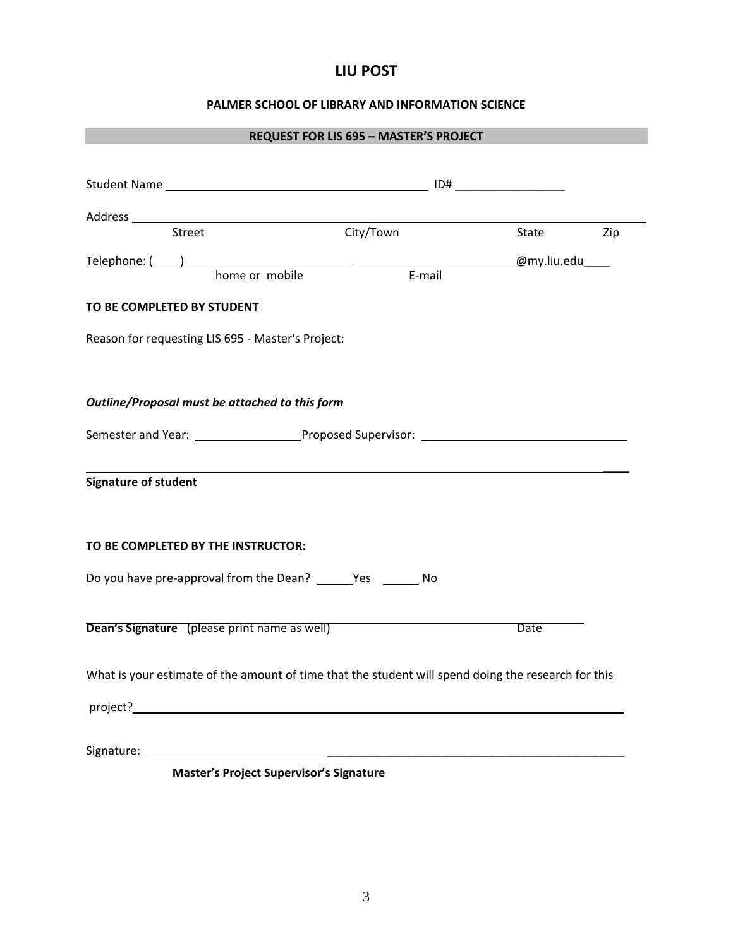# **LIU POST**

### **PALMER SCHOOL OF LIBRARY AND INFORMATION SCIENCE**

### **REQUEST FOR LIS 695 – MASTER'S PROJECT**

| Street                                                                                              |                                                                  | City/Town |  | State       | Zip |  |
|-----------------------------------------------------------------------------------------------------|------------------------------------------------------------------|-----------|--|-------------|-----|--|
| Telephone: ( <u>equal of none or mobile</u><br>home or mobile and the mail                          |                                                                  |           |  | @my.liu.edu |     |  |
|                                                                                                     |                                                                  |           |  |             |     |  |
| TO BE COMPLETED BY STUDENT                                                                          |                                                                  |           |  |             |     |  |
| Reason for requesting LIS 695 - Master's Project:                                                   |                                                                  |           |  |             |     |  |
| Outline/Proposal must be attached to this form                                                      |                                                                  |           |  |             |     |  |
|                                                                                                     |                                                                  |           |  |             |     |  |
| <b>Signature of student</b>                                                                         |                                                                  |           |  |             |     |  |
| TO BE COMPLETED BY THE INSTRUCTOR:                                                                  |                                                                  |           |  |             |     |  |
|                                                                                                     | Do you have pre-approval from the Dean? ________ Yes ________ No |           |  |             |     |  |
|                                                                                                     | Dean's Signature (please print name as well)                     |           |  | Date        |     |  |
| What is your estimate of the amount of time that the student will spend doing the research for this |                                                                  |           |  |             |     |  |
|                                                                                                     |                                                                  |           |  |             |     |  |
|                                                                                                     |                                                                  |           |  |             |     |  |
|                                                                                                     | <b>Master's Project Supervisor's Signature</b>                   |           |  |             |     |  |